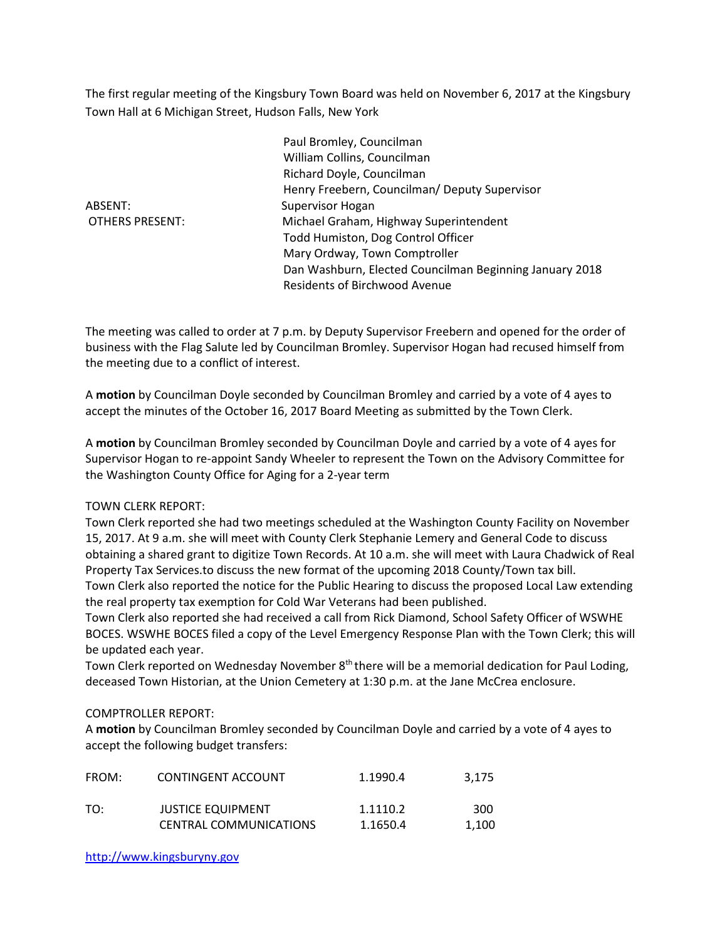The first regular meeting of the Kingsbury Town Board was held on November 6, 2017 at the Kingsbury Town Hall at 6 Michigan Street, Hudson Falls, New York

ABSENT: Supervisor Hogan

 Paul Bromley, Councilman William Collins, Councilman Richard Doyle, Councilman Henry Freebern, Councilman/ Deputy Supervisor OTHERS PRESENT: Michael Graham, Highway Superintendent Todd Humiston, Dog Control Officer Mary Ordway, Town Comptroller Dan Washburn, Elected Councilman Beginning January 2018 Residents of Birchwood Avenue

The meeting was called to order at 7 p.m. by Deputy Supervisor Freebern and opened for the order of business with the Flag Salute led by Councilman Bromley. Supervisor Hogan had recused himself from the meeting due to a conflict of interest.

A motion by Councilman Doyle seconded by Councilman Bromley and carried by a vote of 4 ayes to accept the minutes of the October 16, 2017 Board Meeting as submitted by the Town Clerk.

A motion by Councilman Bromley seconded by Councilman Doyle and carried by a vote of 4 ayes for Supervisor Hogan to re-appoint Sandy Wheeler to represent the Town on the Advisory Committee for the Washington County Office for Aging for a 2-year term

# TOWN CLERK REPORT:

Town Clerk reported she had two meetings scheduled at the Washington County Facility on November 15, 2017. At 9 a.m. she will meet with County Clerk Stephanie Lemery and General Code to discuss obtaining a shared grant to digitize Town Records. At 10 a.m. she will meet with Laura Chadwick of Real Property Tax Services.to discuss the new format of the upcoming 2018 County/Town tax bill. Town Clerk also reported the notice for the Public Hearing to discuss the proposed Local Law extending

the real property tax exemption for Cold War Veterans had been published. Town Clerk also reported she had received a call from Rick Diamond, School Safety Officer of WSWHE BOCES. WSWHE BOCES filed a copy of the Level Emergency Response Plan with the Town Clerk; this will be updated each year.

Town Clerk reported on Wednesday November 8<sup>th</sup> there will be a memorial dedication for Paul Loding, deceased Town Historian, at the Union Cemetery at 1:30 p.m. at the Jane McCrea enclosure.

# COMPTROLLER REPORT:

A motion by Councilman Bromley seconded by Councilman Doyle and carried by a vote of 4 ayes to accept the following budget transfers:

| FROM: | CONTINGENT ACCOUNT       | 1.1990.4 | 3,175 |
|-------|--------------------------|----------|-------|
| TO:   | <b>JUSTICE EQUIPMENT</b> | 1.1110.2 | 300   |
|       | CENTRAL COMMUNICATIONS   | 1.1650.4 | 1.100 |

http://www.kingsburyny.gov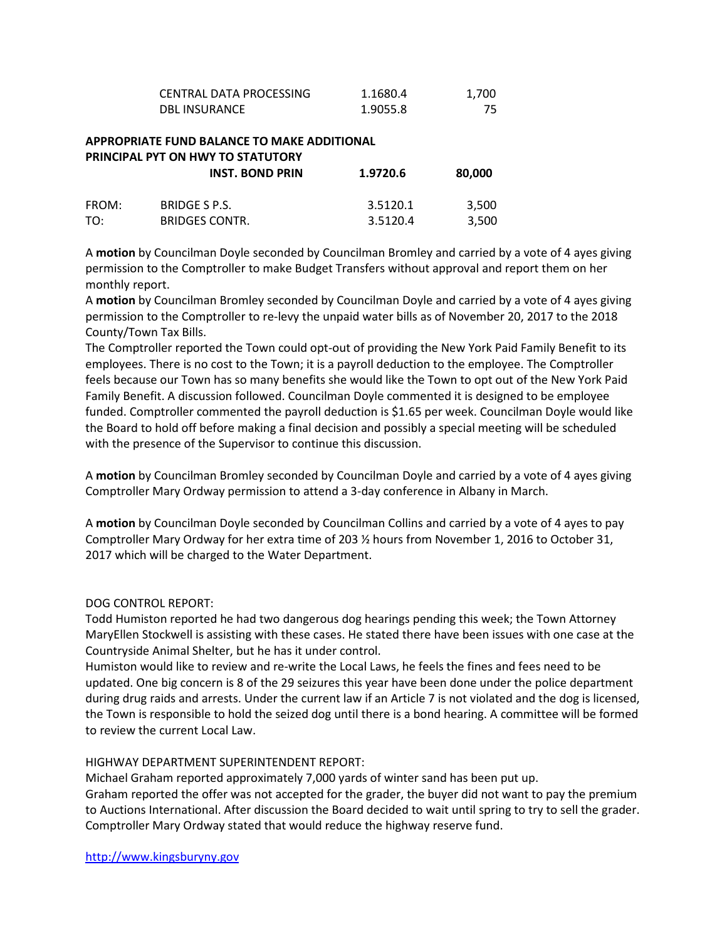| CENTRAL DATA PROCESSING | 1.1680.4 | 1.700 |
|-------------------------|----------|-------|
| <b>DBL INSURANCE</b>    | 1.9055.8 |       |

# APPROPRIATE FUND BALANCE TO MAKE ADDITIONAL PRINCIPAL PYT ON HWY TO STATUTORY INST. BOND PRIN 1.9720.6 80,000 FROM: BRIDGE S P.S. 3.5120.1 3,500

TO: BRIDGES CONTR. 3.5120.4 3,500

A motion by Councilman Doyle seconded by Councilman Bromley and carried by a vote of 4 ayes giving permission to the Comptroller to make Budget Transfers without approval and report them on her monthly report.

A motion by Councilman Bromley seconded by Councilman Doyle and carried by a vote of 4 ayes giving permission to the Comptroller to re-levy the unpaid water bills as of November 20, 2017 to the 2018 County/Town Tax Bills.

The Comptroller reported the Town could opt-out of providing the New York Paid Family Benefit to its employees. There is no cost to the Town; it is a payroll deduction to the employee. The Comptroller feels because our Town has so many benefits she would like the Town to opt out of the New York Paid Family Benefit. A discussion followed. Councilman Doyle commented it is designed to be employee funded. Comptroller commented the payroll deduction is \$1.65 per week. Councilman Doyle would like the Board to hold off before making a final decision and possibly a special meeting will be scheduled with the presence of the Supervisor to continue this discussion.

A motion by Councilman Bromley seconded by Councilman Doyle and carried by a vote of 4 ayes giving Comptroller Mary Ordway permission to attend a 3-day conference in Albany in March.

A motion by Councilman Doyle seconded by Councilman Collins and carried by a vote of 4 ayes to pay Comptroller Mary Ordway for her extra time of 203 ½ hours from November 1, 2016 to October 31, 2017 which will be charged to the Water Department.

# DOG CONTROL REPORT:

Todd Humiston reported he had two dangerous dog hearings pending this week; the Town Attorney MaryEllen Stockwell is assisting with these cases. He stated there have been issues with one case at the Countryside Animal Shelter, but he has it under control.

Humiston would like to review and re-write the Local Laws, he feels the fines and fees need to be updated. One big concern is 8 of the 29 seizures this year have been done under the police department during drug raids and arrests. Under the current law if an Article 7 is not violated and the dog is licensed, the Town is responsible to hold the seized dog until there is a bond hearing. A committee will be formed to review the current Local Law.

#### HIGHWAY DEPARTMENT SUPERINTENDENT REPORT:

Michael Graham reported approximately 7,000 yards of winter sand has been put up.

Graham reported the offer was not accepted for the grader, the buyer did not want to pay the premium to Auctions International. After discussion the Board decided to wait until spring to try to sell the grader. Comptroller Mary Ordway stated that would reduce the highway reserve fund.

http://www.kingsburyny.gov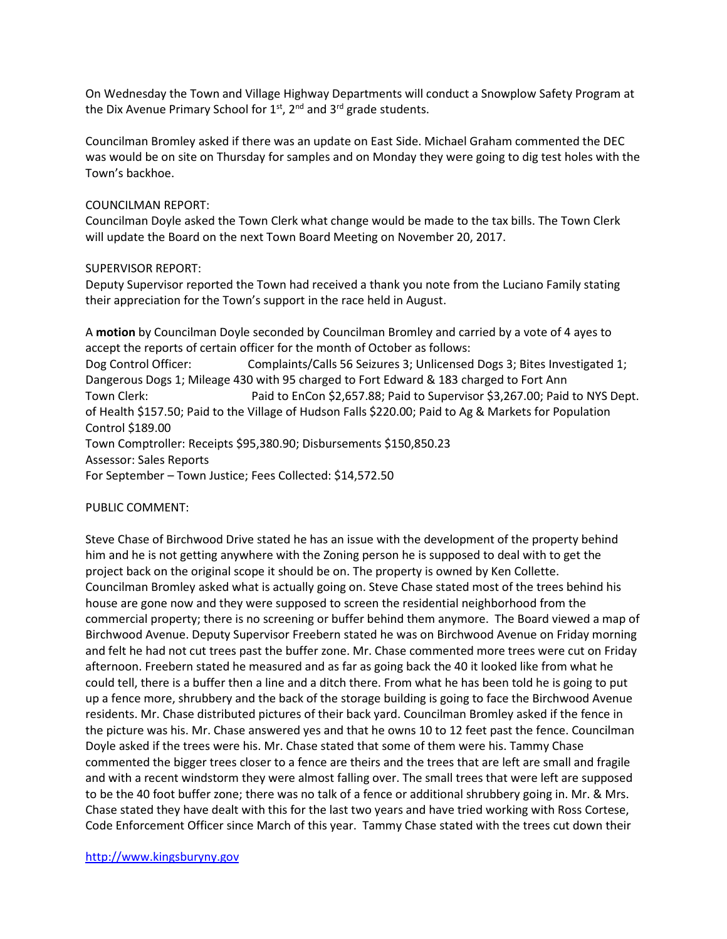On Wednesday the Town and Village Highway Departments will conduct a Snowplow Safety Program at the Dix Avenue Primary School for  $1<sup>st</sup>$ ,  $2<sup>nd</sup>$  and  $3<sup>rd</sup>$  grade students.

Councilman Bromley asked if there was an update on East Side. Michael Graham commented the DEC was would be on site on Thursday for samples and on Monday they were going to dig test holes with the Town's backhoe.

#### COUNCILMAN REPORT:

Councilman Doyle asked the Town Clerk what change would be made to the tax bills. The Town Clerk will update the Board on the next Town Board Meeting on November 20, 2017.

#### SUPERVISOR REPORT:

Deputy Supervisor reported the Town had received a thank you note from the Luciano Family stating their appreciation for the Town's support in the race held in August.

A motion by Councilman Doyle seconded by Councilman Bromley and carried by a vote of 4 ayes to accept the reports of certain officer for the month of October as follows: Dog Control Officer: Complaints/Calls 56 Seizures 3; Unlicensed Dogs 3; Bites Investigated 1; Dangerous Dogs 1; Mileage 430 with 95 charged to Fort Edward & 183 charged to Fort Ann Town Clerk: Paid to EnCon \$2,657.88; Paid to Supervisor \$3,267.00; Paid to NYS Dept. of Health \$157.50; Paid to the Village of Hudson Falls \$220.00; Paid to Ag & Markets for Population Control \$189.00 Town Comptroller: Receipts \$95,380.90; Disbursements \$150,850.23 Assessor: Sales Reports For September – Town Justice; Fees Collected: \$14,572.50

# PUBLIC COMMENT:

Steve Chase of Birchwood Drive stated he has an issue with the development of the property behind him and he is not getting anywhere with the Zoning person he is supposed to deal with to get the project back on the original scope it should be on. The property is owned by Ken Collette. Councilman Bromley asked what is actually going on. Steve Chase stated most of the trees behind his house are gone now and they were supposed to screen the residential neighborhood from the commercial property; there is no screening or buffer behind them anymore. The Board viewed a map of Birchwood Avenue. Deputy Supervisor Freebern stated he was on Birchwood Avenue on Friday morning and felt he had not cut trees past the buffer zone. Mr. Chase commented more trees were cut on Friday afternoon. Freebern stated he measured and as far as going back the 40 it looked like from what he could tell, there is a buffer then a line and a ditch there. From what he has been told he is going to put up a fence more, shrubbery and the back of the storage building is going to face the Birchwood Avenue residents. Mr. Chase distributed pictures of their back yard. Councilman Bromley asked if the fence in the picture was his. Mr. Chase answered yes and that he owns 10 to 12 feet past the fence. Councilman Doyle asked if the trees were his. Mr. Chase stated that some of them were his. Tammy Chase commented the bigger trees closer to a fence are theirs and the trees that are left are small and fragile and with a recent windstorm they were almost falling over. The small trees that were left are supposed to be the 40 foot buffer zone; there was no talk of a fence or additional shrubbery going in. Mr. & Mrs. Chase stated they have dealt with this for the last two years and have tried working with Ross Cortese, Code Enforcement Officer since March of this year. Tammy Chase stated with the trees cut down their